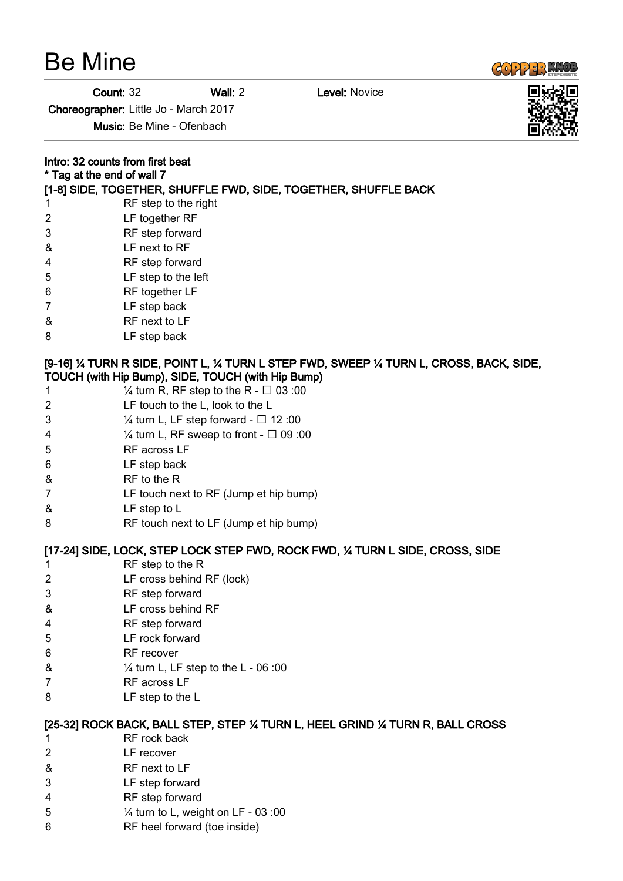|  | <b>Be Mine</b> |
|--|----------------|
|--|----------------|



**Count: 32 Wall: 2 Level: Novice** 

Choreographer: Little Jo - March 2017

Music: Be Mine - Ofenbach

|                | Intro: 32 counts from first beat<br>* Tag at the end of wall 7                                                                             |  |
|----------------|--------------------------------------------------------------------------------------------------------------------------------------------|--|
|                |                                                                                                                                            |  |
| $\mathbf 1$    | [1-8] SIDE, TOGETHER, SHUFFLE FWD, SIDE, TOGETHER, SHUFFLE BACK<br>RF step to the right                                                    |  |
| $\overline{2}$ | LF together RF                                                                                                                             |  |
| 3              |                                                                                                                                            |  |
| &              | RF step forward<br>LF next to RF                                                                                                           |  |
| 4              | RF step forward                                                                                                                            |  |
| 5              | LF step to the left                                                                                                                        |  |
| 6              | RF together LF                                                                                                                             |  |
| 7              |                                                                                                                                            |  |
|                | LF step back<br>RF next to LF                                                                                                              |  |
| &              |                                                                                                                                            |  |
| 8              | LF step back                                                                                                                               |  |
|                | [9-16] ¼ TURN R SIDE, POINT L, ¼ TURN L STEP FWD, SWEEP ¼ TURN L, CROSS, BACK, SIDE,<br>TOUCH (with Hip Bump), SIDE, TOUCH (with Hip Bump) |  |
| 1              | $\frac{1}{4}$ turn R, RF step to the R - $\Box$ 03:00                                                                                      |  |
| 2              | LF touch to the L, look to the L                                                                                                           |  |
| 3              | $\frac{1}{4}$ turn L, LF step forward - $\Box$ 12:00                                                                                       |  |
| 4              | $\frac{1}{4}$ turn L, RF sweep to front - $\Box$ 09 :00                                                                                    |  |
| 5              | RF across LF                                                                                                                               |  |
| 6              | LF step back                                                                                                                               |  |
| &              | RF to the R                                                                                                                                |  |
| 7              | LF touch next to RF (Jump et hip bump)                                                                                                     |  |
| &              | LF step to L                                                                                                                               |  |
| 8              | RF touch next to LF (Jump et hip bump)                                                                                                     |  |
|                | [17-24] SIDE, LOCK, STEP LOCK STEP FWD, ROCK FWD, 1/4 TURN L SIDE, CROSS, SIDE                                                             |  |
| 1              | RF step to the R                                                                                                                           |  |
| $\overline{2}$ | LF cross behind RF (lock)                                                                                                                  |  |
| 3              | RF step forward                                                                                                                            |  |
| &              | LF cross behind RF                                                                                                                         |  |
| 4              | RF step forward                                                                                                                            |  |
| 5              | LF rock forward                                                                                                                            |  |
| 6              | RF recover                                                                                                                                 |  |
| &              | $\frac{1}{4}$ turn L, LF step to the L - 06:00                                                                                             |  |
| 7              | RF across LF                                                                                                                               |  |
| 8              | LF step to the L                                                                                                                           |  |
|                |                                                                                                                                            |  |
|                | [25-32] ROCK BACK, BALL STEP, STEP 1⁄4 TURN L, HEEL GRIND 1⁄4 TURN R, BALL CROSS                                                           |  |
| 1              | RF rock back                                                                                                                               |  |
| 2              | LF recover                                                                                                                                 |  |
| &              | RF next to LF                                                                                                                              |  |
| 3              | LF step forward                                                                                                                            |  |
| 4              | RF step forward                                                                                                                            |  |
| 5              | 1/4 turn to L, weight on LF - 03:00                                                                                                        |  |